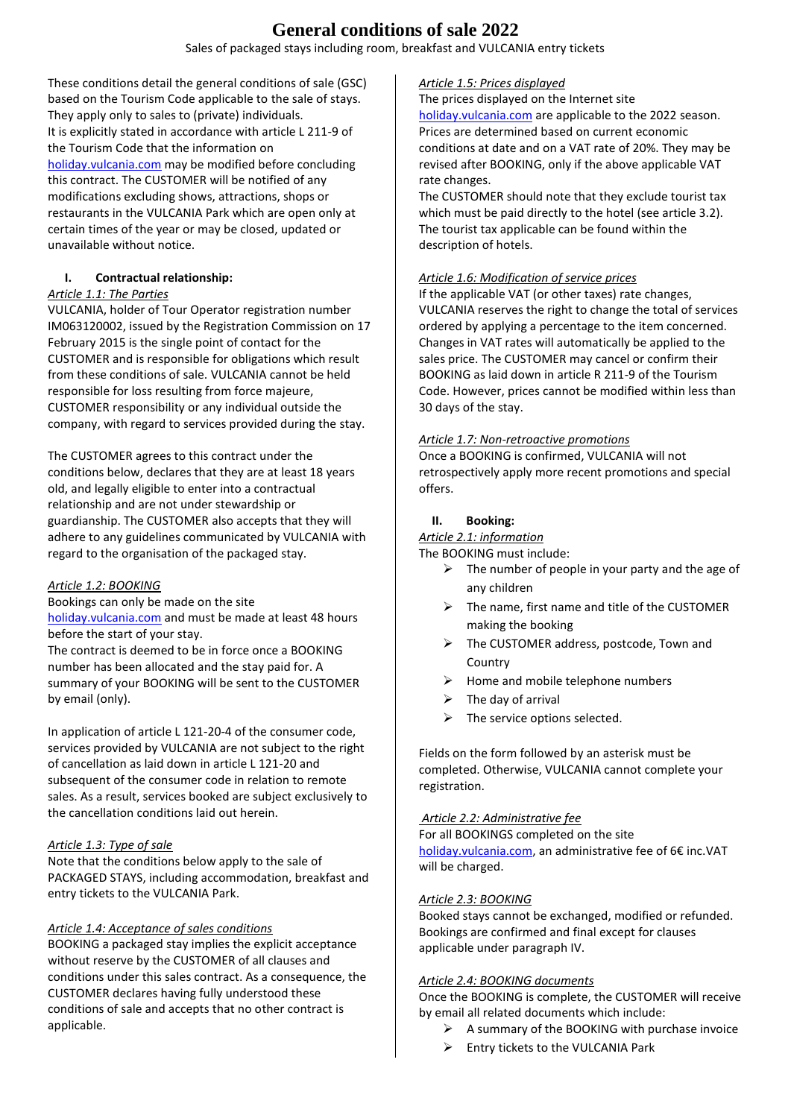# **General conditions of sale 2022**

Sales of packaged stays including room, breakfast and VULCANIA entry tickets

These conditions detail the general conditions of sale (GSC) based on the Tourism Code applicable to the sale of stays. They apply only to sales to (private) individuals. It is explicitly stated in accordance with article L 211-9 of the Tourism Code that the information on [holiday.vulcania.com](https://holiday.vulcania.com/) may be modified before concluding this contract. The CUSTOMER will be notified of any modifications excluding shows, attractions, shops or restaurants in the VULCANIA Park which are open only at certain times of the year or may be closed, updated or unavailable without notice.

# **I. Contractual relationship:**

#### *Article 1.1: The Parties*

VULCANIA, holder of Tour Operator registration number IM063120002, issued by the Registration Commission on 17 February 2015 is the single point of contact for the CUSTOMER and is responsible for obligations which result from these conditions of sale. VULCANIA cannot be held responsible for loss resulting from force majeure, CUSTOMER responsibility or any individual outside the company, with regard to services provided during the stay.

The CUSTOMER agrees to this contract under the conditions below, declares that they are at least 18 years old, and legally eligible to enter into a contractual relationship and are not under stewardship or guardianship. The CUSTOMER also accepts that they will adhere to any guidelines communicated by VULCANIA with regard to the organisation of the packaged stay.

#### *Article 1.2: BOOKING*

Bookings can only be made on the site [holiday.vulcania.com](https://holiday.vulcania.com/) and must be made at least 48 hours

before the start of your stay. The contract is deemed to be in force once a BOOKING number has been allocated and the stay paid for. A summary of your BOOKING will be sent to the CUSTOMER by email (only).

In application of article L 121-20-4 of the consumer code, services provided by VULCANIA are not subject to the right of cancellation as laid down in article L 121-20 and subsequent of the consumer code in relation to remote sales. As a result, services booked are subject exclusively to the cancellation conditions laid out herein.

#### *Article 1.3: Type of sale*

Note that the conditions below apply to the sale of PACKAGED STAYS, including accommodation, breakfast and entry tickets to the VULCANIA Park.

# *Article 1.4: Acceptance of sales conditions*

BOOKING a packaged stay implies the explicit acceptance without reserve by the CUSTOMER of all clauses and conditions under this sales contract. As a consequence, the CUSTOMER declares having fully understood these conditions of sale and accepts that no other contract is applicable.

#### *Article 1.5: Prices displayed*

The prices displayed on the Internet site [holiday.vulcania.com](https://holiday.vulcania.com/) are applicable to the 2022 season. Prices are determined based on current economic conditions at date and on a VAT rate of 20%. They may be revised after BOOKING, only if the above applicable VAT rate changes.

The CUSTOMER should note that they exclude tourist tax which must be paid directly to the hotel (see article 3.2). The tourist tax applicable can be found within the description of hotels.

# *Article 1.6: Modification of service prices*

If the applicable VAT (or other taxes) rate changes, VULCANIA reserves the right to change the total of services ordered by applying a percentage to the item concerned. Changes in VAT rates will automatically be applied to the sales price. The CUSTOMER may cancel or confirm their BOOKING as laid down in article R 211-9 of the Tourism Code. However, prices cannot be modified within less than 30 days of the stay.

#### *Article 1.7: Non-retroactive promotions*

Once a BOOKING is confirmed, VULCANIA will not retrospectively apply more recent promotions and special offers.

### **II. Booking:**

# *Article 2.1: information*

The BOOKING must include:

- $\triangleright$  The number of people in your party and the age of any children
- $\triangleright$  The name, first name and title of the CUSTOMER making the booking
- > The CUSTOMER address, postcode, Town and Country
- $\triangleright$  Home and mobile telephone numbers
- $\triangleright$  The day of arrival
- $\triangleright$  The service options selected.

Fields on the form followed by an asterisk must be completed. Otherwise, VULCANIA cannot complete your registration.

#### *Article 2.2: Administrative fee*

For all BOOKINGS completed on the site [holiday.vulcania.com](https://holiday.vulcania.com/), an administrative fee of 6€ inc.VAT will be charged.

#### *Article 2.3: BOOKING*

Booked stays cannot be exchanged, modified or refunded. Bookings are confirmed and final except for clauses applicable under paragraph IV.

#### *Article 2.4: BOOKING documents*

Once the BOOKING is complete, the CUSTOMER will receive by email all related documents which include:

- $\triangleright$  A summary of the BOOKING with purchase invoice
- $\triangleright$  Entry tickets to the VULCANIA Park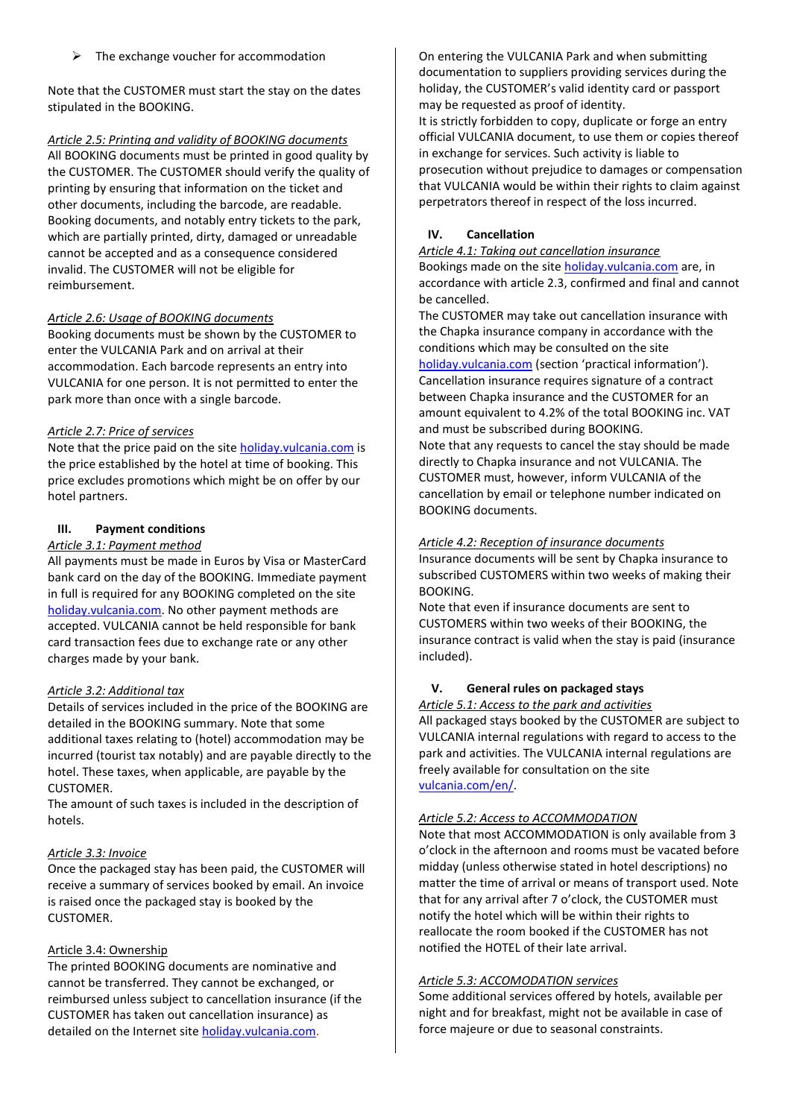The exchange voucher for accommodation

Note that the CUSTOMER must start the stay on the dates stipulated in the BOOKING.

#### *Article 2.5: Printing and validity of BOOKING documents*

All BOOKING documents must be printed in good quality by the CUSTOMER. The CUSTOMER should verify the quality of printing by ensuring that information on the ticket and other documents, including the barcode, are readable. Booking documents, and notably entry tickets to the park, which are partially printed, dirty, damaged or unreadable cannot be accepted and as a consequence considered invalid. The CUSTOMER will not be eligible for reimbursement.

### *Article 2.6: Usage of BOOKING documents*

Booking documents must be shown by the CUSTOMER to enter the VULCANIA Park and on arrival at their accommodation. Each barcode represents an entry into VULCANIA for one person. It is not permitted to enter the park more than once with a single barcode.

### *Article 2.7: Price of services*

Note that the price paid on the site [holiday.vulcania.com](https://holiday.vulcania.com/) is the price established by the hotel at time of booking. This price excludes promotions which might be on offer by our hotel partners.

# **III. Payment conditions**

### *Article 3.1: Payment method*

All payments must be made in Euros by Visa or MasterCard bank card on the day of the BOOKING. Immediate payment in full is required for any BOOKING completed on the site [holiday.vulcania.com.](https://holiday.vulcania.com/) No other payment methods are accepted. VULCANIA cannot be held responsible for bank card transaction fees due to exchange rate or any other charges made by your bank.

# *Article 3.2: Additional tax*

Details of services included in the price of the BOOKING are detailed in the BOOKING summary. Note that some additional taxes relating to (hotel) accommodation may be incurred (tourist tax notably) and are payable directly to the hotel. These taxes, when applicable, are payable by the CUSTOMER.

The amount of such taxes is included in the description of hotels.

# *Article 3.3: Invoice*

Once the packaged stay has been paid, the CUSTOMER will receive a summary of services booked by email. An invoice is raised once the packaged stay is booked by the CUSTOMER.

# Article 3.4: Ownership

The printed BOOKING documents are nominative and cannot be transferred. They cannot be exchanged, or reimbursed unless subject to cancellation insurance (if the CUSTOMER has taken out cancellation insurance) as detailed on the Internet site [holiday.vulcania.com.](https://holiday.vulcania.com/)

On entering the VULCANIA Park and when submitting documentation to suppliers providing services during the holiday, the CUSTOMER's valid identity card or passport may be requested as proof of identity.

It is strictly forbidden to copy, duplicate or forge an entry official VULCANIA document, to use them or copies thereof in exchange for services. Such activity is liable to prosecution without prejudice to damages or compensation that VULCANIA would be within their rights to claim against perpetrators thereof in respect of the loss incurred.

### **IV. Cancellation**

*Article 4.1: Taking out cancellation insurance*

Bookings made on the site [holiday.vulcania.com](https://holiday.vulcania.com/) are, in accordance with article 2.3, confirmed and final and cannot be cancelled.

The CUSTOMER may take out cancellation insurance with the Chapka insurance company in accordance with the conditions which may be consulted on the site [holiday.vulcania.com](https://holiday.vulcania.com/) (section 'practical information'). Cancellation insurance requires signature of a contract between Chapka insurance and the CUSTOMER for an amount equivalent to 4.2% of the total BOOKING inc. VAT and must be subscribed during BOOKING.

Note that any requests to cancel the stay should be made directly to Chapka insurance and not VULCANIA. The CUSTOMER must, however, inform VULCANIA of the cancellation by email or telephone number indicated on BOOKING documents.

### *Article 4.2: Reception of insurance documents*

Insurance documents will be sent by Chapka insurance to subscribed CUSTOMERS within two weeks of making their BOOKING.

Note that even if insurance documents are sent to CUSTOMERS within two weeks of their BOOKING, the insurance contract is valid when the stay is paid (insurance included).

# **V. General rules on packaged stays**

*Article 5.1: Access to the park and activities*

All packaged stays booked by the CUSTOMER are subject to VULCANIA internal regulations with regard to access to the park and activities. The VULCANIA internal regulations are freely available for consultation on the site [vulcania.com/en/.](https://www.vulcania.com/en/)

# *Article 5.2: Access to ACCOMMODATION*

Note that most ACCOMMODATION is only available from 3 o'clock in the afternoon and rooms must be vacated before midday (unless otherwise stated in hotel descriptions) no matter the time of arrival or means of transport used. Note that for any arrival after 7 o'clock, the CUSTOMER must notify the hotel which will be within their rights to reallocate the room booked if the CUSTOMER has not notified the HOTEL of their late arrival.

#### *Article 5.3: ACCOMODATION services*

Some additional services offered by hotels, available per night and for breakfast, might not be available in case of force majeure or due to seasonal constraints.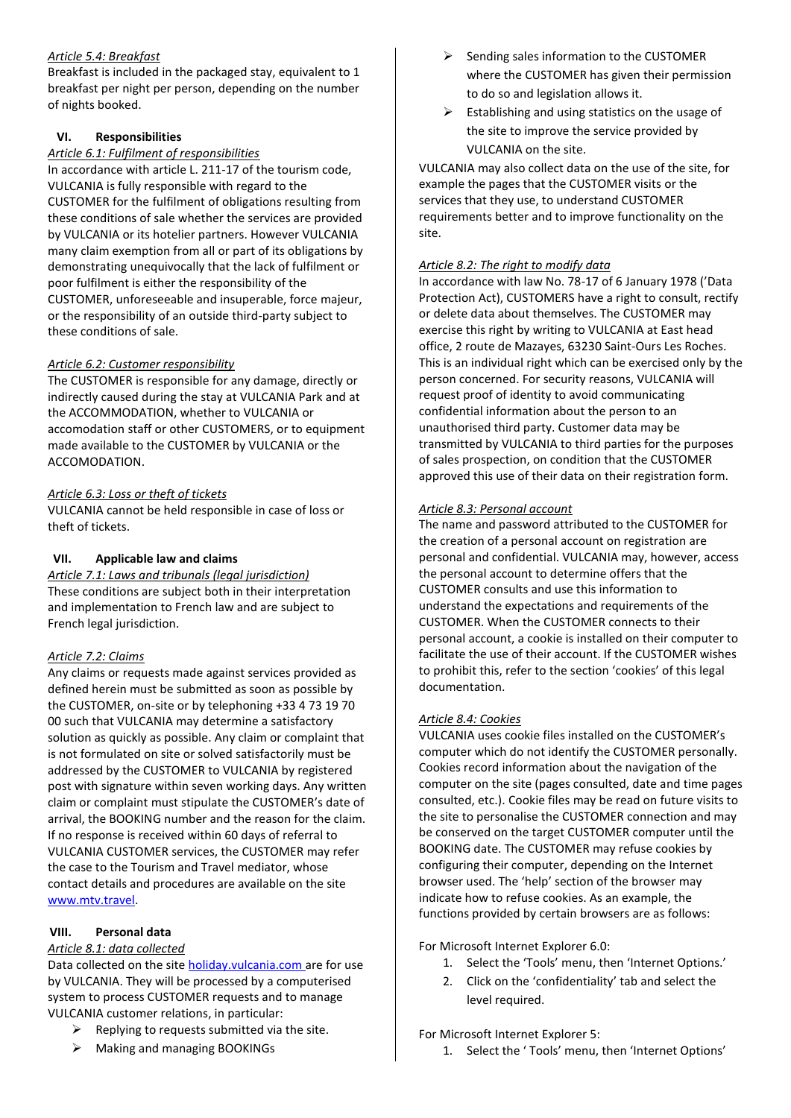# *Article 5.4: Breakfast*

Breakfast is included in the packaged stay, equivalent to 1 breakfast per night per person, depending on the number of nights booked.

# **VI. Responsibilities**

#### *Article 6.1: Fulfilment of responsibilities*

In accordance with article L. 211-17 of the tourism code, VULCANIA is fully responsible with regard to the CUSTOMER for the fulfilment of obligations resulting from these conditions of sale whether the services are provided by VULCANIA or its hotelier partners. However VULCANIA many claim exemption from all or part of its obligations by demonstrating unequivocally that the lack of fulfilment or poor fulfilment is either the responsibility of the CUSTOMER, unforeseeable and insuperable, force majeur, or the responsibility of an outside third-party subject to these conditions of sale.

### *Article 6.2: Customer responsibility*

The CUSTOMER is responsible for any damage, directly or indirectly caused during the stay at VULCANIA Park and at the ACCOMMODATION, whether to VULCANIA or accomodation staff or other CUSTOMERS, or to equipment made available to the CUSTOMER by VULCANIA or the ACCOMODATION.

### *Article 6.3: Loss or theft of tickets*

VULCANIA cannot be held responsible in case of loss or theft of tickets.

# **VII. Applicable law and claims**

*Article 7.1: Laws and tribunals (legal jurisdiction)* These conditions are subject both in their interpretation and implementation to French law and are subject to French legal jurisdiction.

# *Article 7.2: Claims*

Any claims or requests made against services provided as defined herein must be submitted as soon as possible by the CUSTOMER, on-site or by telephoning +33 4 73 19 70 00 such that VULCANIA may determine a satisfactory solution as quickly as possible. Any claim or complaint that is not formulated on site or solved satisfactorily must be addressed by the CUSTOMER to VULCANIA by registered post with signature within seven working days. Any written claim or complaint must stipulate the CUSTOMER's date of arrival, the BOOKING number and the reason for the claim. If no response is received within 60 days of referral to VULCANIA CUSTOMER services, the CUSTOMER may refer the case to the Tourism and Travel mediator, whose contact details and procedures are available on the site [www.mtv.travel.](http://www.mtv.travel/)

# **VIII. Personal data**

#### *Article 8.1: data collected*

Data collected on the site [holiday.vulcania.com](https://holiday.vulcania.com/) are for use by VULCANIA. They will be processed by a computerised system to process CUSTOMER requests and to manage VULCANIA customer relations, in particular:

- $\triangleright$  Replying to requests submitted via the site.
- $\triangleright$  Making and managing BOOKINGs
- $\triangleright$  Sending sales information to the CUSTOMER where the CUSTOMER has given their permission to do so and legislation allows it.
- $\triangleright$  Establishing and using statistics on the usage of the site to improve the service provided by VULCANIA on the site.

VULCANIA may also collect data on the use of the site, for example the pages that the CUSTOMER visits or the services that they use, to understand CUSTOMER requirements better and to improve functionality on the site.

#### *Article 8.2: The right to modify data*

In accordance with law No. 78-17 of 6 January 1978 ('Data Protection Act), CUSTOMERS have a right to consult, rectify or delete data about themselves. The CUSTOMER may exercise this right by writing to VULCANIA at East head office, 2 route de Mazayes, 63230 Saint-Ours Les Roches. This is an individual right which can be exercised only by the person concerned. For security reasons, VULCANIA will request proof of identity to avoid communicating confidential information about the person to an unauthorised third party. Customer data may be transmitted by VULCANIA to third parties for the purposes of sales prospection, on condition that the CUSTOMER approved this use of their data on their registration form.

#### *Article 8.3: Personal account*

The name and password attributed to the CUSTOMER for the creation of a personal account on registration are personal and confidential. VULCANIA may, however, access the personal account to determine offers that the CUSTOMER consults and use this information to understand the expectations and requirements of the CUSTOMER. When the CUSTOMER connects to their personal account, a cookie is installed on their computer to facilitate the use of their account. If the CUSTOMER wishes to prohibit this, refer to the section 'cookies' of this legal documentation.

#### *Article 8.4: Cookies*

VULCANIA uses cookie files installed on the CUSTOMER's computer which do not identify the CUSTOMER personally. Cookies record information about the navigation of the computer on the site (pages consulted, date and time pages consulted, etc.). Cookie files may be read on future visits to the site to personalise the CUSTOMER connection and may be conserved on the target CUSTOMER computer until the BOOKING date. The CUSTOMER may refuse cookies by configuring their computer, depending on the Internet browser used. The 'help' section of the browser may indicate how to refuse cookies. As an example, the functions provided by certain browsers are as follows:

For Microsoft Internet Explorer 6.0:

- 1. Select the 'Tools' menu, then 'Internet Options.'
- 2. Click on the 'confidentiality' tab and select the level required.

For Microsoft Internet Explorer 5:

1. Select the ' Tools' menu, then 'Internet Options'